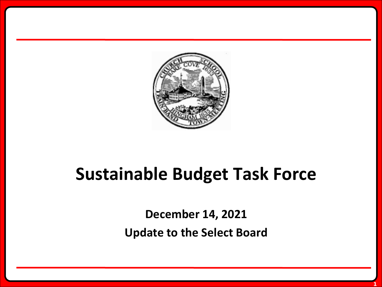

# **Sustainable Budget Task Force**

**December 14, 2021 Update to the Select Board**

**1**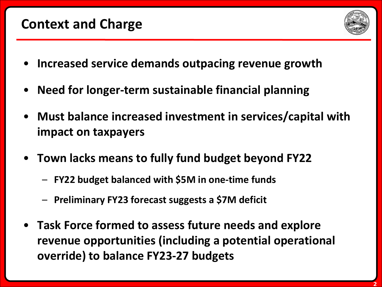### **Context and Charge**



- **Increased service demands outpacing revenue growth**
- **Need for longer-term sustainable financial planning**
- **Must balance increased investment in services/capital with impact on taxpayers**
- **Town lacks means to fully fund budget beyond FY22**
	- **FY22 budget balanced with \$5M in one-time funds**
	- **Preliminary FY23 forecast suggests a \$7M deficit**
- **Task Force formed to assess future needs and explore revenue opportunities (including a potential operational override) to balance FY23-27 budgets**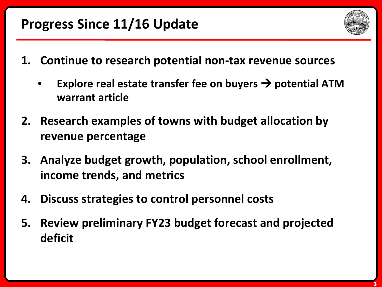# **Progress Since 11/16 Update**



- **1. Continue to research potential non-tax revenue sources**
	- **Explore real estate transfer fee on buyers**  $\rightarrow$  **potential ATM warrant article**
- **2. Research examples of towns with budget allocation by revenue percentage**
- **3. Analyze budget growth, population, school enrollment, income trends, and metrics**
- **4. Discuss strategies to control personnel costs**
- **5. Review preliminary FY23 budget forecast and projected deficit**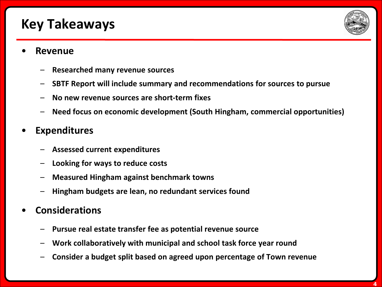# **Key Takeaways**



#### • **Revenue**

- **Researched many revenue sources**
- **SBTF Report will include summary and recommendations for sources to pursue**
- **No new revenue sources are short-term fixes**
- **Need focus on economic development (South Hingham, commercial opportunities)**

#### • **Expenditures**

- **Assessed current expenditures**
- **Looking for ways to reduce costs**
- **Measured Hingham against benchmark towns**
- **Hingham budgets are lean, no redundant services found**

#### • **Considerations**

- **Pursue real estate transfer fee as potential revenue source**
- **Work collaboratively with municipal and school task force year round**
- **Consider a budget split based on agreed upon percentage of Town revenue**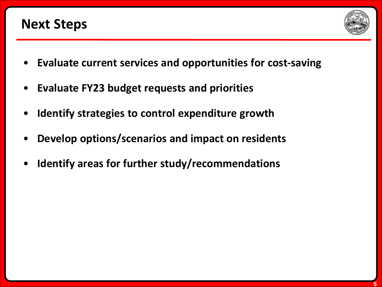## **Next Steps**



- **Evaluate current services and opportunities for cost-saving**
- **Evaluate FY23 budget requests and priorities**
- **Identify strategies to control expenditure growth**
- **Develop options/scenarios and impact on residents**
- **Identify areas for further study/recommendations**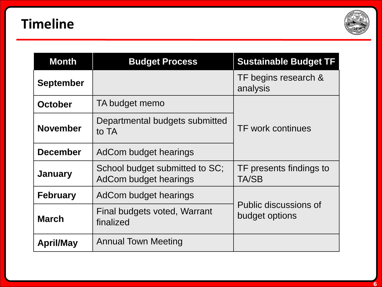

| <b>Month</b>     | <b>Budget Process</b>                                   | <b>Sustainable Budget TF</b>            |
|------------------|---------------------------------------------------------|-----------------------------------------|
| <b>September</b> |                                                         | TF begins research &<br>analysis        |
| <b>October</b>   | TA budget memo                                          | <b>TF work continues</b>                |
| <b>November</b>  | Departmental budgets submitted<br>to TA                 |                                         |
| <b>December</b>  | AdCom budget hearings                                   |                                         |
| <b>January</b>   | School budget submitted to SC;<br>AdCom budget hearings | TF presents findings to<br><b>TA/SB</b> |
| <b>February</b>  | AdCom budget hearings                                   | Public discussions of<br>budget options |
| <b>March</b>     | Final budgets voted, Warrant<br>finalized               |                                         |
| <b>April/May</b> | <b>Annual Town Meeting</b>                              |                                         |